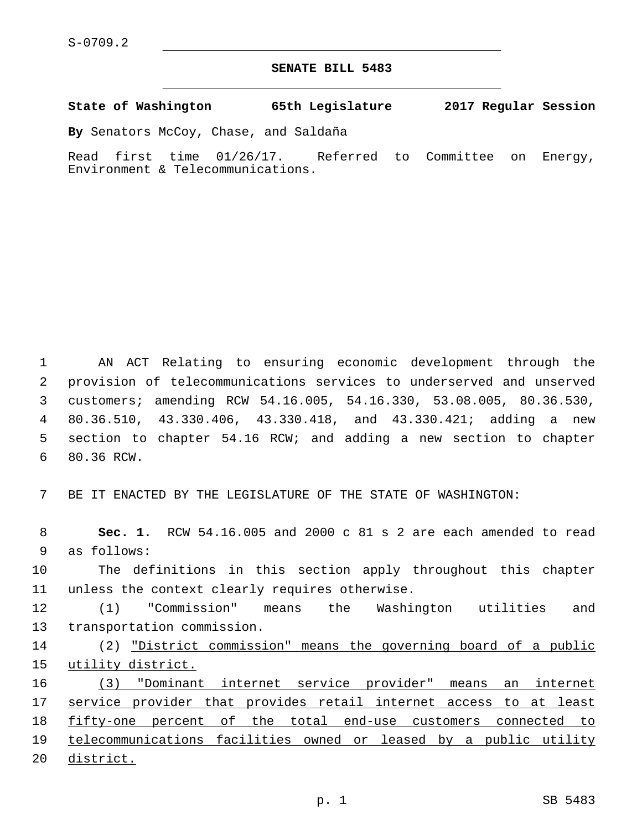## **SENATE BILL 5483**

**State of Washington 65th Legislature 2017 Regular Session**

**By** Senators McCoy, Chase, and Saldaña

Read first time 01/26/17. Referred to Committee on Energy, Environment & Telecommunications.

 AN ACT Relating to ensuring economic development through the provision of telecommunications services to underserved and unserved customers; amending RCW 54.16.005, 54.16.330, 53.08.005, 80.36.530, 80.36.510, 43.330.406, 43.330.418, and 43.330.421; adding a new section to chapter 54.16 RCW; and adding a new section to chapter 6 80.36 RCW.

7 BE IT ENACTED BY THE LEGISLATURE OF THE STATE OF WASHINGTON:

8 **Sec. 1.** RCW 54.16.005 and 2000 c 81 s 2 are each amended to read 9 as follows:

10 The definitions in this section apply throughout this chapter 11 unless the context clearly requires otherwise.

12 (1) "Commission" means the Washington utilities and 13 transportation commission.

14 (2) "District commission" means the governing board of a public 15 utility district.

 (3) "Dominant internet service provider" means an internet 17 service provider that provides retail internet access to at least fifty-one percent of the total end-use customers connected to telecommunications facilities owned or leased by a public utility district.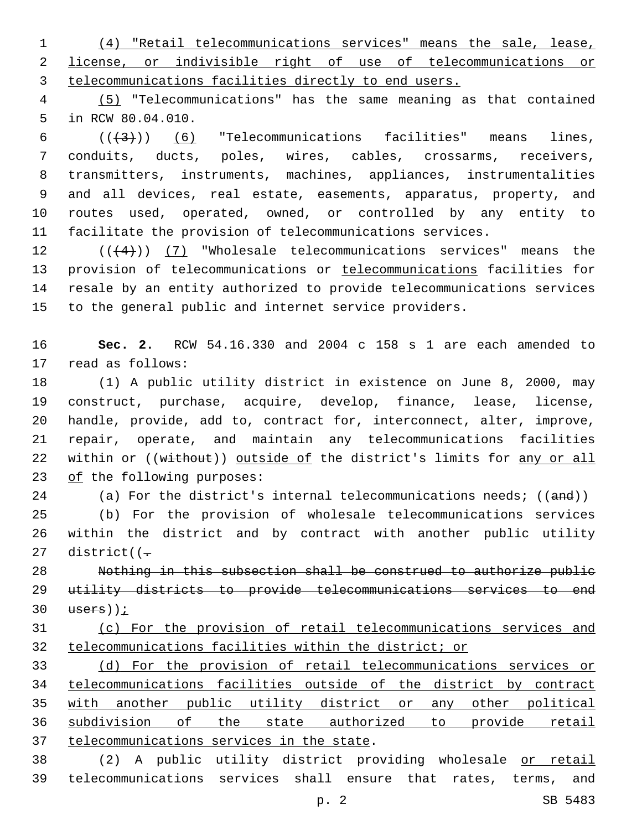(4) "Retail telecommunications services" means the sale, lease, license, or indivisible right of use of telecommunications or telecommunications facilities directly to end users.

 (5) "Telecommunications" has the same meaning as that contained 5 in RCW 80.04.010.

 $((+3+))$   $(6)$  "Telecommunications facilities" means lines, conduits, ducts, poles, wires, cables, crossarms, receivers, transmitters, instruments, machines, appliances, instrumentalities and all devices, real estate, easements, apparatus, property, and routes used, operated, owned, or controlled by any entity to facilitate the provision of telecommunications services.

 $((4+))$  (7) "Wholesale telecommunications services" means the provision of telecommunications or telecommunications facilities for resale by an entity authorized to provide telecommunications services to the general public and internet service providers.

 **Sec. 2.** RCW 54.16.330 and 2004 c 158 s 1 are each amended to 17 read as follows:

 (1) A public utility district in existence on June 8, 2000, may construct, purchase, acquire, develop, finance, lease, license, handle, provide, add to, contract for, interconnect, alter, improve, repair, operate, and maintain any telecommunications facilities 22 within or ((without)) outside of the district's limits for any or all 23 of the following purposes:

24 (a) For the district's internal telecommunications needs; ((and))

 (b) For the provision of wholesale telecommunications services within the district and by contract with another public utility 27 district( $(-$ 

 Nothing in this subsection shall be construed to authorize public utility districts to provide telecommunications services to end users));

## (c) For the provision of retail telecommunications services and telecommunications facilities within the district; or

 (d) For the provision of retail telecommunications services or telecommunications facilities outside of the district by contract with another public utility district or any other political subdivision of the state authorized to provide retail 37 telecommunications services in the state.

 (2) A public utility district providing wholesale or retail telecommunications services shall ensure that rates, terms, and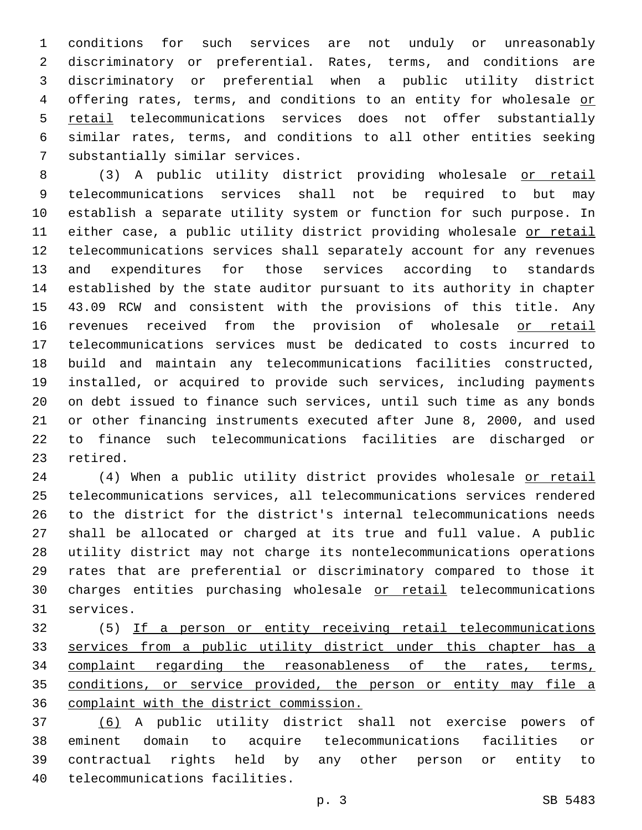conditions for such services are not unduly or unreasonably discriminatory or preferential. Rates, terms, and conditions are discriminatory or preferential when a public utility district 4 offering rates, terms, and conditions to an entity for wholesale or retail telecommunications services does not offer substantially similar rates, terms, and conditions to all other entities seeking 7 substantially similar services.

 (3) A public utility district providing wholesale or retail telecommunications services shall not be required to but may establish a separate utility system or function for such purpose. In either case, a public utility district providing wholesale or retail telecommunications services shall separately account for any revenues and expenditures for those services according to standards established by the state auditor pursuant to its authority in chapter 43.09 RCW and consistent with the provisions of this title. Any revenues received from the provision of wholesale or retail telecommunications services must be dedicated to costs incurred to build and maintain any telecommunications facilities constructed, installed, or acquired to provide such services, including payments on debt issued to finance such services, until such time as any bonds or other financing instruments executed after June 8, 2000, and used to finance such telecommunications facilities are discharged or 23 retired.

24 (4) When a public utility district provides wholesale or retail telecommunications services, all telecommunications services rendered to the district for the district's internal telecommunications needs shall be allocated or charged at its true and full value. A public utility district may not charge its nontelecommunications operations rates that are preferential or discriminatory compared to those it charges entities purchasing wholesale or retail telecommunications 31 services.

 (5) If a person or entity receiving retail telecommunications services from a public utility district under this chapter has a 34 complaint regarding the reasonableness of the rates, terms, conditions, or service provided, the person or entity may file a complaint with the district commission.

 (6) A public utility district shall not exercise powers of eminent domain to acquire telecommunications facilities or contractual rights held by any other person or entity to 40 telecommunications facilities.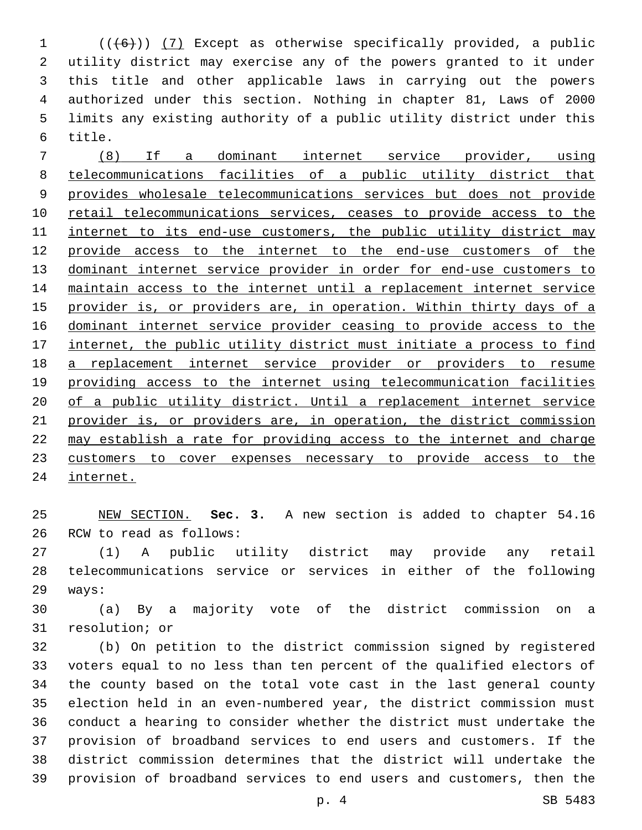1 (((6)) (7) Except as otherwise specifically provided, a public utility district may exercise any of the powers granted to it under this title and other applicable laws in carrying out the powers authorized under this section. Nothing in chapter 81, Laws of 2000 limits any existing authority of a public utility district under this 6 title.

 (8) If a dominant internet service provider, using telecommunications facilities of a public utility district that provides wholesale telecommunications services but does not provide 10 retail telecommunications services, ceases to provide access to the 11 internet to its end-use customers, the public utility district may provide access to the internet to the end-use customers of the dominant internet service provider in order for end-use customers to maintain access to the internet until a replacement internet service provider is, or providers are, in operation. Within thirty days of a dominant internet service provider ceasing to provide access to the 17 internet, the public utility district must initiate a process to find a replacement internet service provider or providers to resume providing access to the internet using telecommunication facilities 20 of a public utility district. Until a replacement internet service 21 provider is, or providers are, in operation, the district commission may establish a rate for providing access to the internet and charge customers to cover expenses necessary to provide access to the internet.

 NEW SECTION. **Sec. 3.** A new section is added to chapter 54.16 26 RCW to read as follows:

 (1) A public utility district may provide any retail telecommunications service or services in either of the following 29 ways:

 (a) By a majority vote of the district commission on a 31 resolution; or

 (b) On petition to the district commission signed by registered voters equal to no less than ten percent of the qualified electors of the county based on the total vote cast in the last general county election held in an even-numbered year, the district commission must conduct a hearing to consider whether the district must undertake the provision of broadband services to end users and customers. If the district commission determines that the district will undertake the provision of broadband services to end users and customers, then the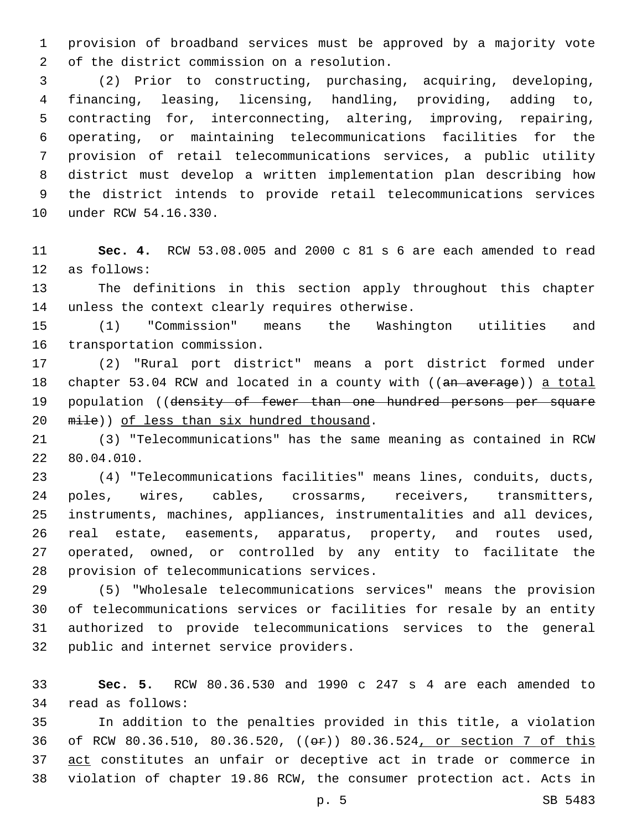provision of broadband services must be approved by a majority vote 2 of the district commission on a resolution.

 (2) Prior to constructing, purchasing, acquiring, developing, financing, leasing, licensing, handling, providing, adding to, contracting for, interconnecting, altering, improving, repairing, operating, or maintaining telecommunications facilities for the provision of retail telecommunications services, a public utility district must develop a written implementation plan describing how the district intends to provide retail telecommunications services 10 under RCW 54.16.330.

 **Sec. 4.** RCW 53.08.005 and 2000 c 81 s 6 are each amended to read 12 as follows:

 The definitions in this section apply throughout this chapter 14 unless the context clearly requires otherwise.

 (1) "Commission" means the Washington utilities and 16 transportation commission.

 (2) "Rural port district" means a port district formed under 18 chapter 53.04 RCW and located in a county with ((an average)) a total 19 population ((density of fewer than one hundred persons per square 20  $mile)$ ) of less than six hundred thousand.

 (3) "Telecommunications" has the same meaning as contained in RCW 22 80.04.010.

 (4) "Telecommunications facilities" means lines, conduits, ducts, poles, wires, cables, crossarms, receivers, transmitters, instruments, machines, appliances, instrumentalities and all devices, real estate, easements, apparatus, property, and routes used, operated, owned, or controlled by any entity to facilitate the 28 provision of telecommunications services.

 (5) "Wholesale telecommunications services" means the provision of telecommunications services or facilities for resale by an entity authorized to provide telecommunications services to the general 32 public and internet service providers.

 **Sec. 5.** RCW 80.36.530 and 1990 c 247 s 4 are each amended to 34 read as follows:

 In addition to the penalties provided in this title, a violation of RCW 80.36.510, 80.36.520, ((or)) 80.36.524, or section 7 of this 37 act constitutes an unfair or deceptive act in trade or commerce in violation of chapter 19.86 RCW, the consumer protection act. Acts in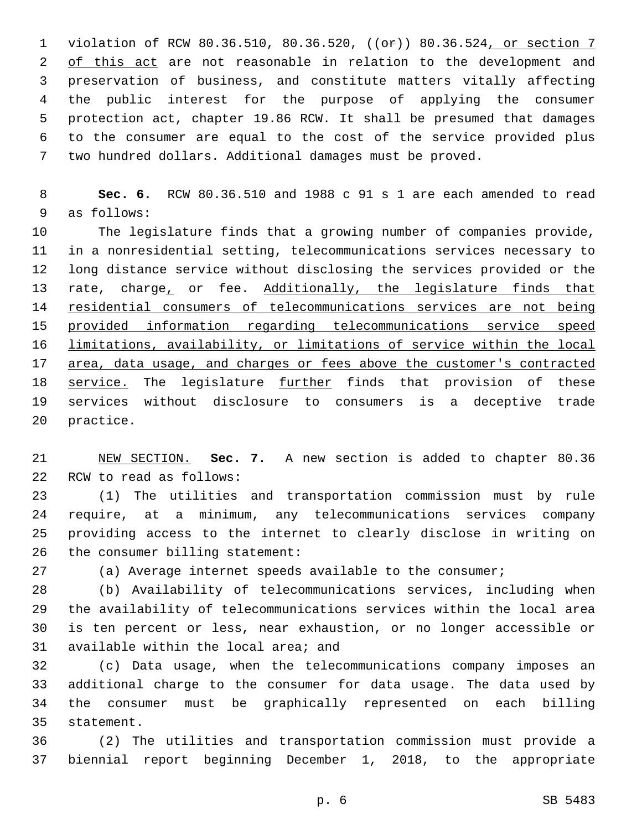violation of RCW 80.36.510, 80.36.520, ((or)) 80.36.524, or section 7 2 of this act are not reasonable in relation to the development and preservation of business, and constitute matters vitally affecting the public interest for the purpose of applying the consumer protection act, chapter 19.86 RCW. It shall be presumed that damages to the consumer are equal to the cost of the service provided plus two hundred dollars. Additional damages must be proved.

 **Sec. 6.** RCW 80.36.510 and 1988 c 91 s 1 are each amended to read 9 as follows:

 The legislature finds that a growing number of companies provide, in a nonresidential setting, telecommunications services necessary to long distance service without disclosing the services provided or the 13 rate, charge, or fee. Additionally, the legislature finds that residential consumers of telecommunications services are not being provided information regarding telecommunications service speed limitations, availability, or limitations of service within the local area, data usage, and charges or fees above the customer's contracted 18 service. The legislature further finds that provision of these services without disclosure to consumers is a deceptive trade 20 practice.

 NEW SECTION. **Sec. 7.** A new section is added to chapter 80.36 22 RCW to read as follows:

 (1) The utilities and transportation commission must by rule require, at a minimum, any telecommunications services company providing access to the internet to clearly disclose in writing on 26 the consumer billing statement:

(a) Average internet speeds available to the consumer;

 (b) Availability of telecommunications services, including when the availability of telecommunications services within the local area is ten percent or less, near exhaustion, or no longer accessible or 31 available within the local area; and

 (c) Data usage, when the telecommunications company imposes an additional charge to the consumer for data usage. The data used by the consumer must be graphically represented on each billing 35 statement.

 (2) The utilities and transportation commission must provide a biennial report beginning December 1, 2018, to the appropriate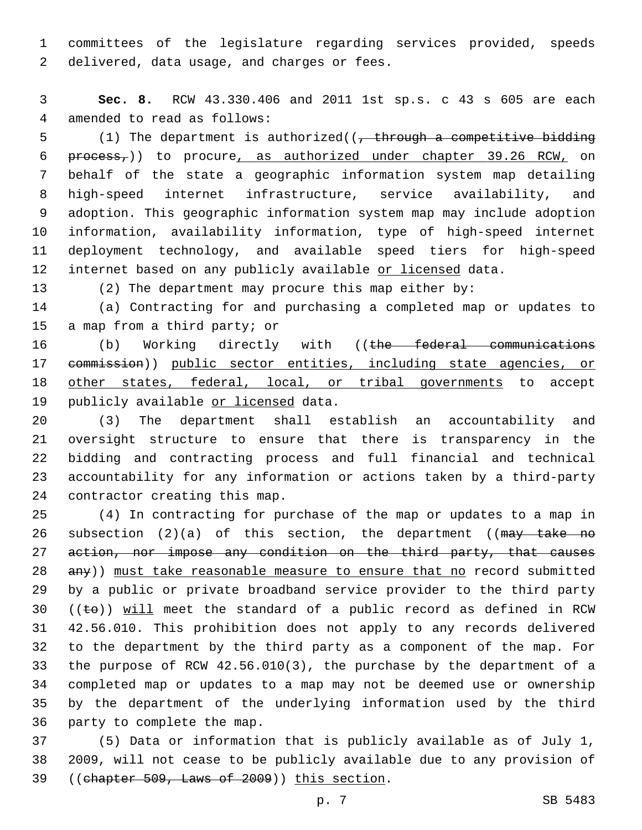committees of the legislature regarding services provided, speeds 2 delivered, data usage, and charges or fees.

 **Sec. 8.** RCW 43.330.406 and 2011 1st sp.s. c 43 s 605 are each 4 amended to read as follows:

5 (1) The department is authorized( $\left($ , through a competitive bidding  $peroess$ ,)) to procure, as authorized under chapter 39.26 RCW, on behalf of the state a geographic information system map detailing high-speed internet infrastructure, service availability, and adoption. This geographic information system map may include adoption information, availability information, type of high-speed internet deployment technology, and available speed tiers for high-speed 12 internet based on any publicly available or licensed data.

(2) The department may procure this map either by:

 (a) Contracting for and purchasing a completed map or updates to 15 a map from a third party; or

16 (b) Working directly with ((the federal communications commission)) public sector entities, including state agencies, or 18 other states, federal, local, or tribal governments to accept 19 publicly available or licensed data.

 (3) The department shall establish an accountability and oversight structure to ensure that there is transparency in the bidding and contracting process and full financial and technical accountability for any information or actions taken by a third-party 24 contractor creating this map.

 (4) In contracting for purchase of the map or updates to a map in 26 subsection  $(2)(a)$  of this section, the department ((may take no action, nor impose any condition on the third party, that causes any)) must take reasonable measure to ensure that no record submitted by a public or private broadband service provider to the third party 30 (( $\pm$ e)) will meet the standard of a public record as defined in RCW 42.56.010. This prohibition does not apply to any records delivered to the department by the third party as a component of the map. For the purpose of RCW 42.56.010(3), the purchase by the department of a completed map or updates to a map may not be deemed use or ownership by the department of the underlying information used by the third 36 party to complete the map.

 (5) Data or information that is publicly available as of July 1, 2009, will not cease to be publicly available due to any provision of 39 ((chapter 509, Laws of 2009)) this section.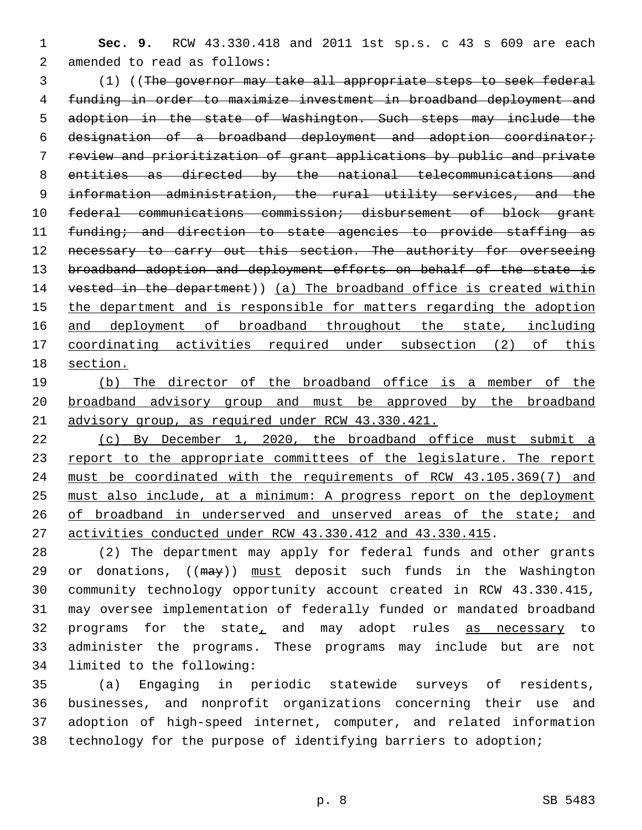**Sec. 9.** RCW 43.330.418 and 2011 1st sp.s. c 43 s 609 are each 2 amended to read as follows:

 (1) ((The governor may take all appropriate steps to seek federal funding in order to maximize investment in broadband deployment and adoption in the state of Washington. Such steps may include the designation of a broadband deployment and adoption coordinator; review and prioritization of grant applications by public and private entities as directed by the national telecommunications and information administration, the rural utility services, and the federal communications commission; disbursement of block grant funding; and direction to state agencies to provide staffing as 12 necessary to carry out this section. The authority for overseeing broadband adoption and deployment efforts on behalf of the state is vested in the department)) (a) The broadband office is created within the department and is responsible for matters regarding the adoption 16 and deployment of broadband throughout the state, including coordinating activities required under subsection (2) of this section.

 (b) The director of the broadband office is a member of the broadband advisory group and must be approved by the broadband advisory group, as required under RCW 43.330.421.

 (c) By December 1, 2020, the broadband office must submit a 23 report to the appropriate committees of the legislature. The report must be coordinated with the requirements of RCW 43.105.369(7) and must also include, at a minimum: A progress report on the deployment 26 of broadband in underserved and unserved areas of the state; and activities conducted under RCW 43.330.412 and 43.330.415.

 (2) The department may apply for federal funds and other grants 29 or donations, ((may)) must deposit such funds in the Washington community technology opportunity account created in RCW 43.330.415, may oversee implementation of federally funded or mandated broadband 32 programs for the state, and may adopt rules as necessary to administer the programs. These programs may include but are not 34 limited to the following:

 (a) Engaging in periodic statewide surveys of residents, businesses, and nonprofit organizations concerning their use and adoption of high-speed internet, computer, and related information technology for the purpose of identifying barriers to adoption;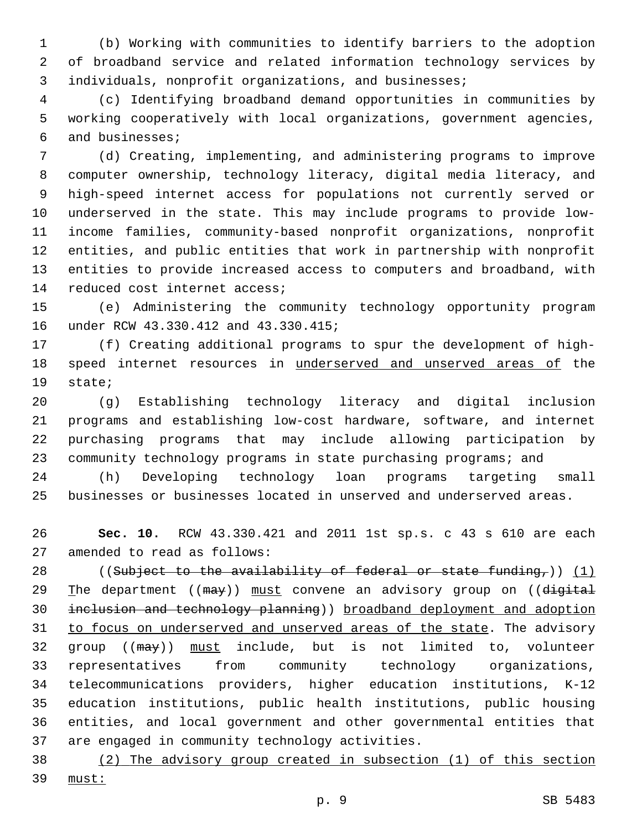(b) Working with communities to identify barriers to the adoption of broadband service and related information technology services by 3 individuals, nonprofit organizations, and businesses;

 (c) Identifying broadband demand opportunities in communities by working cooperatively with local organizations, government agencies, and businesses;6

 (d) Creating, implementing, and administering programs to improve computer ownership, technology literacy, digital media literacy, and high-speed internet access for populations not currently served or underserved in the state. This may include programs to provide low- income families, community-based nonprofit organizations, nonprofit entities, and public entities that work in partnership with nonprofit entities to provide increased access to computers and broadband, with 14 reduced cost internet access;

 (e) Administering the community technology opportunity program 16 under RCW 43.330.412 and 43.330.415;

 (f) Creating additional programs to spur the development of high- speed internet resources in underserved and unserved areas of the 19 state;

 (g) Establishing technology literacy and digital inclusion programs and establishing low-cost hardware, software, and internet purchasing programs that may include allowing participation by community technology programs in state purchasing programs; and

 (h) Developing technology loan programs targeting small businesses or businesses located in unserved and underserved areas.

 **Sec. 10.** RCW 43.330.421 and 2011 1st sp.s. c 43 s 610 are each 27 amended to read as follows:

28 ((Subject to the availability of federal or state funding,)) (1) 29 The department ((may)) must convene an advisory group on ((digital inclusion and technology planning)) broadband deployment and adoption 31 to focus on underserved and unserved areas of the state. The advisory 32 group ((may)) must include, but is not limited to, volunteer representatives from community technology organizations, telecommunications providers, higher education institutions, K-12 education institutions, public health institutions, public housing entities, and local government and other governmental entities that 37 are engaged in community technology activities.

 (2) The advisory group created in subsection (1) of this section must:

p. 9 SB 5483